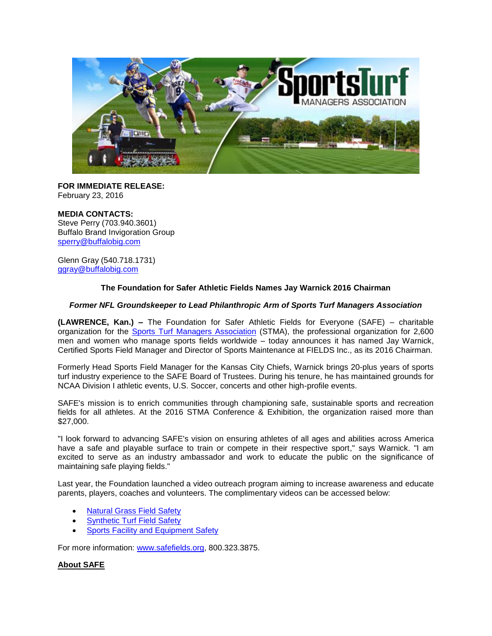

**FOR IMMEDIATE RELEASE:** February 23, 2016

#### **MEDIA CONTACTS:**

Steve Perry (703.940.3601) Buffalo Brand Invigoration Group [sperry@buffalobig.com](mailto:sperry@buffalobig.com)

Glenn Gray (540.718.1731) [ggray@buffalobig.com](mailto:ggray@buffalobig.com)

## **The Foundation for Safer Athletic Fields Names Jay Warnick 2016 Chairman**

#### *Former NFL Groundskeeper to Lead Philanthropic Arm of Sports Turf Managers Association*

**(LAWRENCE, Kan.) –** The Foundation for Safer Athletic Fields for Everyone (SAFE) – charitable organization for the **[Sports Turf Managers Association](http://www.stma.org/)** (STMA), the professional organization for 2,600 men and women who manage sports fields worldwide – today announces it has named Jay Warnick, Certified Sports Field Manager and Director of Sports Maintenance at FIELDS Inc., as its 2016 Chairman.

Formerly Head Sports Field Manager for the Kansas City Chiefs, Warnick brings 20-plus years of sports turf industry experience to the SAFE Board of Trustees. During his tenure, he has maintained grounds for NCAA Division I athletic events, U.S. Soccer, concerts and other high-profile events.

SAFE's mission is to enrich communities through championing safe, sustainable sports and recreation fields for all athletes. At the 2016 STMA Conference & Exhibition, the organization raised more than \$27,000.

"I look forward to advancing SAFE's vision on ensuring athletes of all ages and abilities across America have a safe and playable surface to train or compete in their respective sport," says Warnick. "I am excited to serve as an industry ambassador and work to educate the public on the significance of maintaining safe playing fields."

Last year, the Foundation launched a video outreach program aiming to increase awareness and educate parents, players, coaches and volunteers. The complimentary videos can be accessed below:

- [Natural Grass Field Safety](https://www.youtube.com/watch?v=g5lIe57dNu0)
- **[Synthetic Turf Field Safety](https://www.youtube.com/watch?v=52ZvYvhzoWc&feature=youtu.be)**
- [Sports Facility and Equipment Safety](https://www.youtube.com/watch?v=MdUv8cRxjdM)

For more information: [www.safefields.org,](http://www.safefields.org/) 800.323.3875.

# **About SAFE**